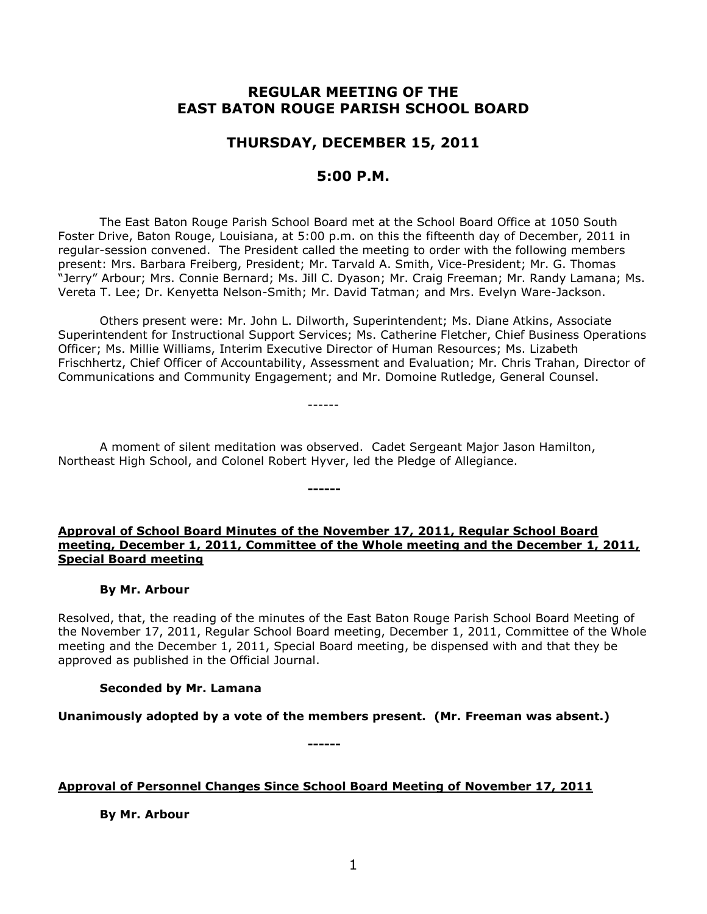# **REGULAR MEETING OF THE EAST BATON ROUGE PARISH SCHOOL BOARD**

# **THURSDAY, DECEMBER 15, 2011**

# **5:00 P.M.**

The East Baton Rouge Parish School Board met at the School Board Office at 1050 South Foster Drive, Baton Rouge, Louisiana, at 5:00 p.m. on this the fifteenth day of December, 2011 in regular-session convened. The President called the meeting to order with the following members present: Mrs. Barbara Freiberg, President; Mr. Tarvald A. Smith, Vice-President; Mr. G. Thomas "Jerry" Arbour; Mrs. Connie Bernard; Ms. Jill C. Dyason; Mr. Craig Freeman; Mr. Randy Lamana; Ms. Vereta T. Lee; Dr. Kenyetta Nelson-Smith; Mr. David Tatman; and Mrs. Evelyn Ware-Jackson.

Others present were: Mr. John L. Dilworth, Superintendent; Ms. Diane Atkins, Associate Superintendent for Instructional Support Services; Ms. Catherine Fletcher, Chief Business Operations Officer; Ms. Millie Williams, Interim Executive Director of Human Resources; Ms. Lizabeth Frischhertz, Chief Officer of Accountability, Assessment and Evaluation; Mr. Chris Trahan, Director of Communications and Community Engagement; and Mr. Domoine Rutledge, General Counsel.

A moment of silent meditation was observed. Cadet Sergeant Major Jason Hamilton, Northeast High School, and Colonel Robert Hyver, led the Pledge of Allegiance.

**------**

------

# **Approval of School Board Minutes of the November 17, 2011, Regular School Board meeting, December 1, 2011, Committee of the Whole meeting and the December 1, 2011, Special Board meeting**

# **By Mr. Arbour**

Resolved, that, the reading of the minutes of the East Baton Rouge Parish School Board Meeting of the November 17, 2011, Regular School Board meeting, December 1, 2011, Committee of the Whole meeting and the December 1, 2011, Special Board meeting, be dispensed with and that they be approved as published in the Official Journal.

# **Seconded by Mr. Lamana**

**Unanimously adopted by a vote of the members present. (Mr. Freeman was absent.)**

**------**

# **Approval of Personnel Changes Since School Board Meeting of November 17, 2011**

**By Mr. Arbour**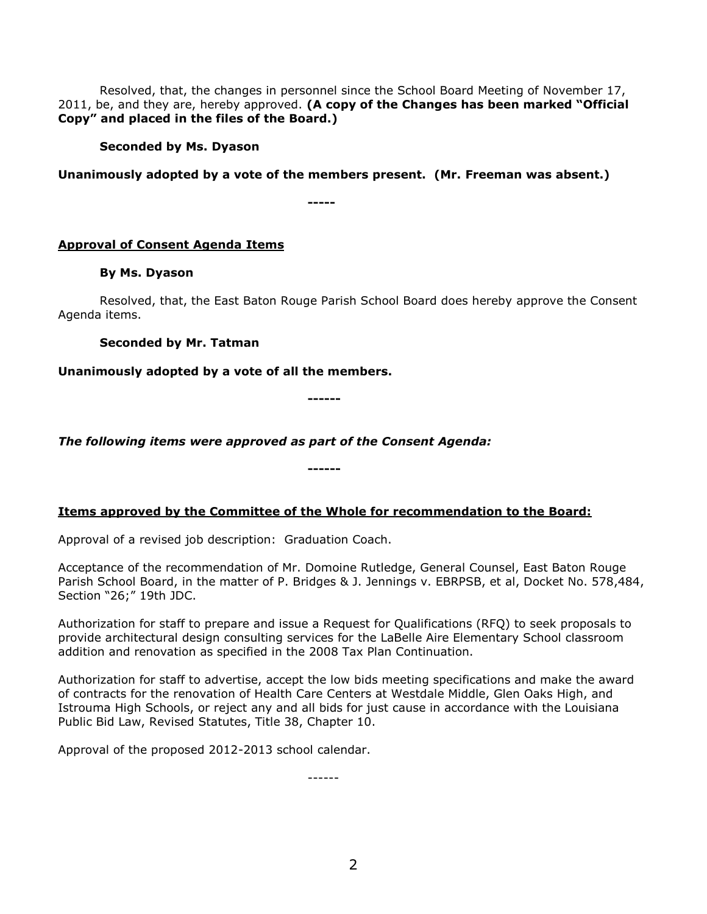Resolved, that, the changes in personnel since the School Board Meeting of November 17, 2011, be, and they are, hereby approved. **(A copy of the Changes has been marked "Official Copy" and placed in the files of the Board.)**

# **Seconded by Ms. Dyason**

**Unanimously adopted by a vote of the members present. (Mr. Freeman was absent.)**

**-----**

# **Approval of Consent Agenda Items**

# **By Ms. Dyason**

Resolved, that, the East Baton Rouge Parish School Board does hereby approve the Consent Agenda items.

# **Seconded by Mr. Tatman**

# **Unanimously adopted by a vote of all the members.**

**------**

*The following items were approved as part of the Consent Agenda:*

**Items approved by the Committee of the Whole for recommendation to the Board:** 

**------**

Approval of a revised job description: Graduation Coach.

Acceptance of the recommendation of Mr. Domoine Rutledge, General Counsel, East Baton Rouge Parish School Board, in the matter of P. Bridges & J. Jennings v. EBRPSB, et al, Docket No. 578,484, Section "26;" 19th JDC.

Authorization for staff to prepare and issue a Request for Qualifications (RFQ) to seek proposals to provide architectural design consulting services for the LaBelle Aire Elementary School classroom addition and renovation as specified in the 2008 Tax Plan Continuation.

Authorization for staff to advertise, accept the low bids meeting specifications and make the award of contracts for the renovation of Health Care Centers at Westdale Middle, Glen Oaks High, and Istrouma High Schools, or reject any and all bids for just cause in accordance with the Louisiana Public Bid Law, Revised Statutes, Title 38, Chapter 10.

Approval of the proposed 2012-2013 school calendar.

------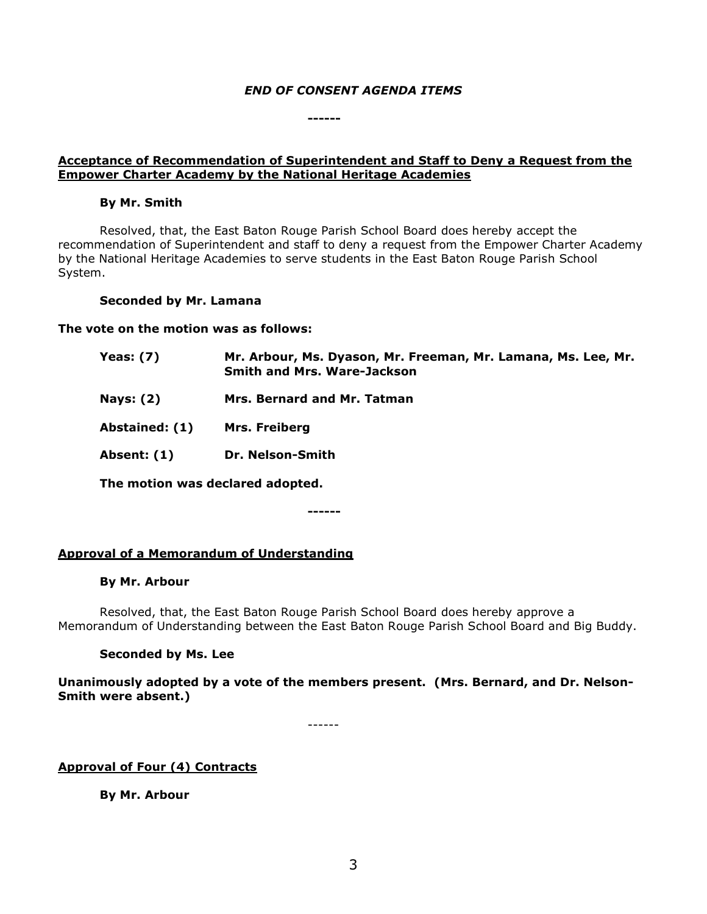# *END OF CONSENT AGENDA ITEMS*

**------**

# **Acceptance of Recommendation of Superintendent and Staff to Deny a Request from the Empower Charter Academy by the National Heritage Academies**

### **By Mr. Smith**

Resolved, that, the East Baton Rouge Parish School Board does hereby accept the recommendation of Superintendent and staff to deny a request from the Empower Charter Academy by the National Heritage Academies to serve students in the East Baton Rouge Parish School System.

### **Seconded by Mr. Lamana**

### **The vote on the motion was as follows:**

| <b>Yeas: (7)</b> | Mr. Arbour, Ms. Dyason, Mr. Freeman, Mr. Lamana, Ms. Lee, Mr.<br><b>Smith and Mrs. Ware-Jackson</b> |
|------------------|-----------------------------------------------------------------------------------------------------|
| <b>Nays: (2)</b> | Mrs. Bernard and Mr. Tatman                                                                         |
| Abstained: (1)   | Mrs. Freiberg                                                                                       |
| Absent: (1)      | Dr. Nelson-Smith                                                                                    |
|                  | The motion was declared adopted.                                                                    |

**------**

# **Approval of a Memorandum of Understanding**

#### **By Mr. Arbour**

Resolved, that, the East Baton Rouge Parish School Board does hereby approve a Memorandum of Understanding between the East Baton Rouge Parish School Board and Big Buddy.

# **Seconded by Ms. Lee**

**Unanimously adopted by a vote of the members present. (Mrs. Bernard, and Dr. Nelson-Smith were absent.)**

------

**Approval of Four (4) Contracts**

**By Mr. Arbour**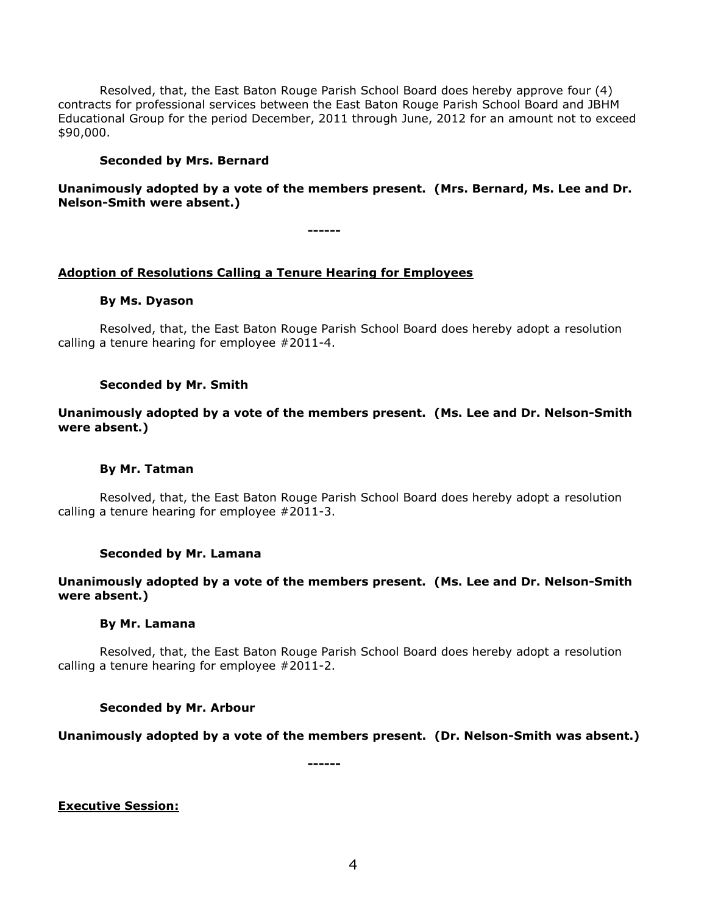Resolved, that, the East Baton Rouge Parish School Board does hereby approve four (4) contracts for professional services between the East Baton Rouge Parish School Board and JBHM Educational Group for the period December, 2011 through June, 2012 for an amount not to exceed \$90,000.

### **Seconded by Mrs. Bernard**

# **Unanimously adopted by a vote of the members present. (Mrs. Bernard, Ms. Lee and Dr. Nelson-Smith were absent.)**

**------**

# **Adoption of Resolutions Calling a Tenure Hearing for Employees**

#### **By Ms. Dyason**

Resolved, that, the East Baton Rouge Parish School Board does hereby adopt a resolution calling a tenure hearing for employee #2011-4.

### **Seconded by Mr. Smith**

# **Unanimously adopted by a vote of the members present. (Ms. Lee and Dr. Nelson-Smith were absent.)**

#### **By Mr. Tatman**

Resolved, that, the East Baton Rouge Parish School Board does hereby adopt a resolution calling a tenure hearing for employee #2011-3.

#### **Seconded by Mr. Lamana**

# **Unanimously adopted by a vote of the members present. (Ms. Lee and Dr. Nelson-Smith were absent.)**

#### **By Mr. Lamana**

Resolved, that, the East Baton Rouge Parish School Board does hereby adopt a resolution calling a tenure hearing for employee #2011-2.

# **Seconded by Mr. Arbour**

# **Unanimously adopted by a vote of the members present. (Dr. Nelson-Smith was absent.)**

**------**

# **Executive Session:**